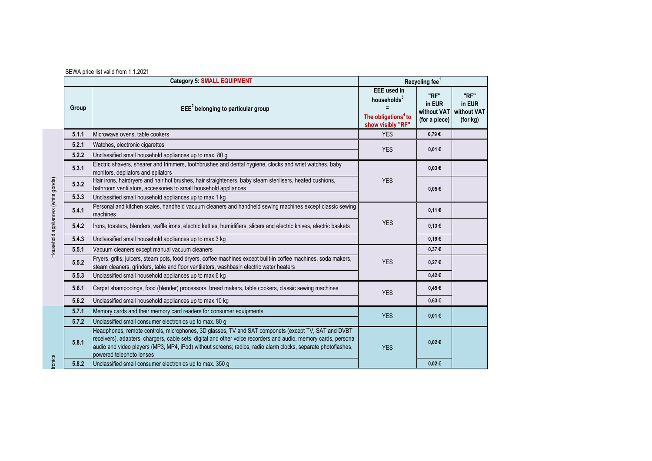|                         | <b>Category 5: SMALL EQUIPMENT</b>                                                                                                                                                                                                                                                                                                                                 |                                                                                                       | Recycling fee <sup>1</sup>                     |                                           |  |
|-------------------------|--------------------------------------------------------------------------------------------------------------------------------------------------------------------------------------------------------------------------------------------------------------------------------------------------------------------------------------------------------------------|-------------------------------------------------------------------------------------------------------|------------------------------------------------|-------------------------------------------|--|
| Group                   | $EEE2$ belonging to particular group                                                                                                                                                                                                                                                                                                                               | <b>EEE</b> used in<br>households <sup>3</sup><br>The obligations <sup>4</sup> to<br>show visibly "RF" | "RF"<br>in EUR<br>without VAT<br>(for a piece) | "RF"<br>in EUR<br>without VAT<br>(for kg) |  |
| 5.1.1                   | Microwave ovens, table cookers                                                                                                                                                                                                                                                                                                                                     | <b>YES</b>                                                                                            | 0,79€                                          |                                           |  |
| 5.2.1                   | Watches, electronic cigarettes                                                                                                                                                                                                                                                                                                                                     | <b>YES</b>                                                                                            | 0,01€                                          |                                           |  |
| 5.2.2                   | Unclassified small household appliances up to max. 80 g                                                                                                                                                                                                                                                                                                            |                                                                                                       |                                                |                                           |  |
| 5.3.1                   | Electric shavers, shearer and trimmers, toothbrushes and dental hygiene, clocks and wrist watches, baby<br>monitors, depilators and epilators                                                                                                                                                                                                                      | <b>YES</b><br><b>YES</b>                                                                              | $0.03 \in$                                     |                                           |  |
| 5.3.2                   | Hair irons, hairdryers and hair hot brushes, hair straighteners, baby steam sterilisers, heated cushions,<br>bathroom ventilators, accessories to small household appliances                                                                                                                                                                                       |                                                                                                       | $0.05 \in$                                     |                                           |  |
| 5.3.3                   | Unclassified small household appliances up to max.1 kg                                                                                                                                                                                                                                                                                                             |                                                                                                       |                                                |                                           |  |
| 5.4.1                   | Personal and kitchen scales, handheld vacuum cleaners and handheld sewing machines except classic sewing<br>machines                                                                                                                                                                                                                                               |                                                                                                       | 0,11€                                          |                                           |  |
| 5.4.2                   | Irons, toasters, blenders, waffle irons, electric kettles, humidifiers, slicers and electric knives, electric baskets                                                                                                                                                                                                                                              |                                                                                                       | 0,13€                                          |                                           |  |
| 5.4.3                   | Unclassified small household appliances up to max.3 kg                                                                                                                                                                                                                                                                                                             |                                                                                                       | 0,19€                                          |                                           |  |
| 5.5.1                   | Vacuum cleaners except manual vacuum cleaners                                                                                                                                                                                                                                                                                                                      |                                                                                                       | 0,37€                                          |                                           |  |
| 5.5.2<br>5.5.3<br>5.6.1 | Fryers, grills, juicers, steam pots, food dryers, coffee machines except built-in coffee machines, soda makers,<br>steam cleaners, grinders, table and floor ventilators, washbasin electric water heaters                                                                                                                                                         | <b>YES</b>                                                                                            | 0,27€                                          |                                           |  |
|                         | Unclassified small household appliances up to max.6 kg                                                                                                                                                                                                                                                                                                             |                                                                                                       | 0,42€                                          |                                           |  |
|                         | Carpet shampooings, food (blender) processors, bread makers, table cookers, classic sewing machines                                                                                                                                                                                                                                                                | <b>YES</b>                                                                                            | $0.45 \in$                                     |                                           |  |
| 5.6.2                   | Unclassified small household appliances up to max.10 kg                                                                                                                                                                                                                                                                                                            |                                                                                                       | $0.63 \in$                                     |                                           |  |
| 5.7.1                   | Memory cards and their memory card readers for consumer equipments                                                                                                                                                                                                                                                                                                 | <b>YES</b>                                                                                            | 0,01€                                          |                                           |  |
| 5.7.2                   | Unclassified small consumer electronics up to max. 80 g                                                                                                                                                                                                                                                                                                            |                                                                                                       |                                                |                                           |  |
| 5.8.1<br>5.8.2          | Headphones, remote controls, microphones, 3D glasses, TV and SAT componets (except TV, SAT and DVBT<br>receivers), adapters, chargers, cable sets, digital and other voice recorders and audio, memory cards, personal<br>audio and video players (MP3, MP4, iPod) without screens; radios, radio alarm clocks, separate photoflashes,<br>powered telephoto lenses | <b>YES</b>                                                                                            | 0,02€                                          |                                           |  |
|                         | Unclassified small consumer electronics up to max. 350 g                                                                                                                                                                                                                                                                                                           |                                                                                                       | 0,02€                                          |                                           |  |

## SEWA price list valid from 1.1.2021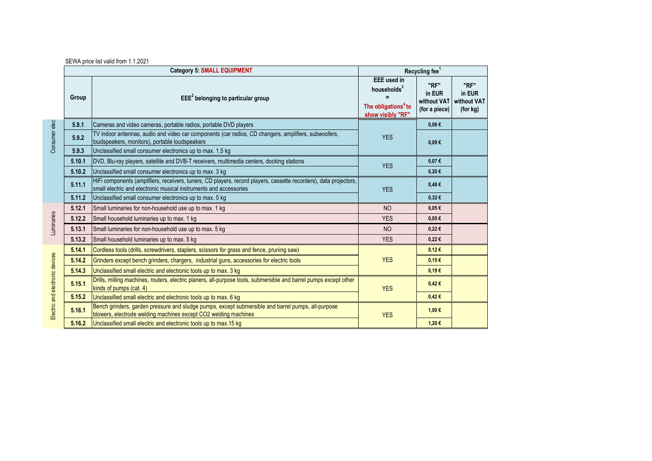|                                                                                                                                                                                                                    |                                                                                                       | Recycling fee <sup>1</sup>                     |                                           |  |
|--------------------------------------------------------------------------------------------------------------------------------------------------------------------------------------------------------------------|-------------------------------------------------------------------------------------------------------|------------------------------------------------|-------------------------------------------|--|
| $EEE2$ belonging to particular group<br>Group                                                                                                                                                                      | <b>EEE</b> used in<br>households <sup>3</sup><br>The obligations <sup>4</sup> to<br>show visibly "RF" | "RF"<br>in EUR<br>without VAT<br>(for a piece) | "RF"<br>in EUR<br>without VAT<br>(for kg) |  |
| 5.9.1<br>Cameras and video cameras, portable radios, portable DVD players                                                                                                                                          |                                                                                                       | $0.06 \in$                                     |                                           |  |
| Consumer elect<br>TV indoor antennas, audio and video car components (car radios, CD changers, amplifiers, subwoofers,<br>5.9.2<br>loudspeakers, monitors), portable loudspeakers                                  | <b>YES</b>                                                                                            | $0.09 \in$                                     |                                           |  |
| 5.9.3<br>Unclassified small consumer electronics up to max. 1.5 kg                                                                                                                                                 |                                                                                                       |                                                |                                           |  |
| 5.10.1<br>DVD, Blu-ray players, satellite and DVB-T receivers, multimedia centers, docking stations                                                                                                                | <b>YES</b>                                                                                            | $0.07 \in$                                     |                                           |  |
| 5.10.2<br>Unclassified small consumer electronics up to max. 3 kg                                                                                                                                                  |                                                                                                       | 0,20€                                          |                                           |  |
| HiFi components (amplifiers, receivers, tuners, CD players, record players, cassette recorders), data projectors,<br>5.11.1<br>small electric and electronic musical instruments and accessories                   | <b>YES</b>                                                                                            | 0,48€                                          |                                           |  |
| 5.11.2<br>Unclassified small consumer electronics up to max. 5 kg                                                                                                                                                  |                                                                                                       | 0,32€                                          |                                           |  |
| Small luminaries for non-household use up to max. 1 kg<br>5.12.1                                                                                                                                                   | <b>NO</b>                                                                                             | 0.05E                                          |                                           |  |
| Luminaries<br>5.12.2<br>Small household luminaries up to max. 1 kg                                                                                                                                                 | <b>YES</b>                                                                                            | $0.05 \in$                                     |                                           |  |
| 5.13.1<br>Small luminaries for non-household use up to max. 5 kg                                                                                                                                                   | N <sub>O</sub>                                                                                        | 0,22€                                          |                                           |  |
| 5.13.2<br>Small household luminaries up to max. 5 kg                                                                                                                                                               | <b>YES</b>                                                                                            | $0,22 \in$                                     |                                           |  |
| 5.14.1<br>Cordless tools (drills, screwdrivers, staplers, scissors for grass and fence, pruning saw)                                                                                                               |                                                                                                       | 0.12€                                          |                                           |  |
| Grinders except bench grinders, chargers, industrial guns, accessories for electric tools<br>5.14.2                                                                                                                | <b>YES</b>                                                                                            | $0,15 \in$                                     |                                           |  |
| 5.14.3<br>Unclassified small electric and electronic tools up to max. 3 kg                                                                                                                                         |                                                                                                       | 0,19€                                          |                                           |  |
| Drills, milling machines, routers, electric planers, all-purpose tools, submersible and barrel pumps except other<br>5.15.1<br>kinds of pumps (cat. 4)                                                             | <b>YES</b>                                                                                            | 0,42€                                          |                                           |  |
| 5.15.2<br>Unclassified small electric and electronic tools up to max. 6 kg                                                                                                                                         |                                                                                                       | 0,42€                                          |                                           |  |
| Electric and electronic devices<br>Bench grinders, garden pressure and sludge pumps, except submersible and barrel pumps, all-purpose<br>5.16.1<br>blowers, electrode welding machines except CO2 welding machines | <b>YES</b>                                                                                            | 1,00€                                          |                                           |  |
| Unclassified small electric and electronic tools up to max.15 kg<br>5.16.2                                                                                                                                         |                                                                                                       | 1,20€                                          |                                           |  |